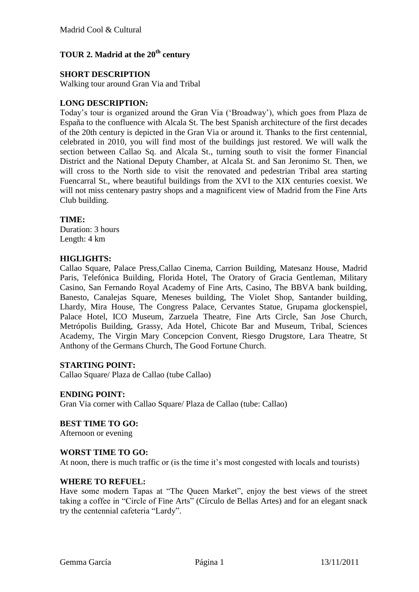# **TOUR 2. Madrid at the 20th century**

## **SHORT DESCRIPTION**

Walking tour around Gran Via and Tribal

## **LONG DESCRIPTION:**

Today"s tour is organized around the Gran Via ("Broadway"), which goes from Plaza de España to the confluence with Alcala St. The best Spanish architecture of the first decades of the 20th century is depicted in the Gran Via or around it. Thanks to the first centennial, celebrated in 2010, you will find most of the buildings just restored. We will walk the section between Callao Sq. and Alcala St., turning south to visit the former Financial District and the National Deputy Chamber, at Alcala St. and San Jeronimo St. Then, we will cross to the North side to visit the renovated and pedestrian Tribal area starting Fuencarral St., where beautiful buildings from the XVI to the XIX centuries coexist. We will not miss centenary pastry shops and a magnificent view of Madrid from the Fine Arts Club building.

### **TIME:**

Duration: 3 hours Length: 4 km

### **HIGLIGHTS:**

Callao Square, Palace Press,Callao Cinema, Carrion Building, Matesanz House, Madrid Paris, Telefónica Building, Florida Hotel, The Oratory of Gracia Gentleman, Military Casino, San Fernando Royal Academy of Fine Arts, Casino, The BBVA bank building, Banesto, Canalejas Square, Meneses building, The Violet Shop, Santander building, Lhardy, Mira House, The Congress Palace, Cervantes Statue, Grupama glockenspiel, Palace Hotel, ICO Museum, Zarzuela Theatre, Fine Arts Circle, San Jose Church, Metrópolis Building, Grassy, Ada Hotel, Chicote Bar and Museum, Tribal, Sciences Academy, The Virgin Mary Concepcion Convent, Riesgo Drugstore, Lara Theatre, St Anthony of the Germans Church, The Good Fortune Church.

#### **STARTING POINT:**

Callao Square/ Plaza de Callao (tube Callao)

#### **ENDING POINT:**

Gran Via corner with Callao Square/ Plaza de Callao (tube: Callao)

## **BEST TIME TO GO:**

Afternoon or evening

#### **WORST TIME TO GO:**

At noon, there is much traffic or (is the time it's most congested with locals and tourists)

#### **WHERE TO REFUEL:**

Have some modern Tapas at "The Queen Market", enjoy the best views of the street taking a coffee in "Circle of Fine Arts" (Círculo de Bellas Artes) and for an elegant snack try the centennial cafeteria "Lardy".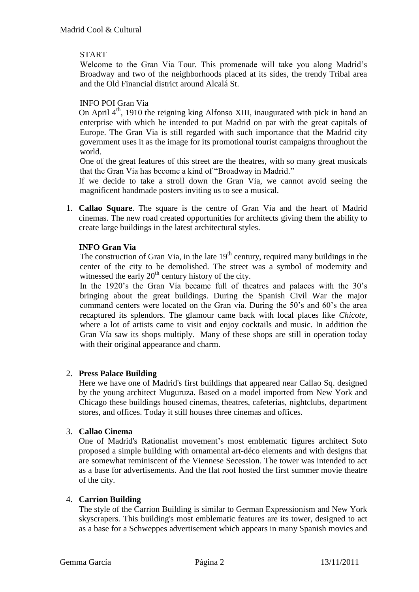## START

Welcome to the Gran Via Tour. This promenade will take you along Madrid"s Broadway and two of the neighborhoods placed at its sides, the trendy Tribal area and the Old Financial district around Alcalá St.

### INFO POI Gran Via

On April 4<sup>th</sup>, 1910 the reigning king Alfonso XIII, inaugurated with pick in hand an enterprise with which he intended to put Madrid on par with the great capitals of Europe. The Gran Via is still regarded with such importance that the Madrid city government uses it as the image for its promotional tourist campaigns throughout the world.

One of the great features of this street are the theatres, with so many great musicals that the Gran Via has become a kind of "Broadway in Madrid."

If we decide to take a stroll down the Gran Via, we cannot avoid seeing the magnificent handmade posters inviting us to see a musical.

1. **Callao Square**. The square is the centre of Gran Via and the heart of Madrid cinemas. The new road created opportunities for architects giving them the ability to create large buildings in the latest architectural styles.

## **INFO Gran Via**

The construction of Gran Via, in the late  $19<sup>th</sup>$  century, required many buildings in the center of the city to be demolished. The street was a symbol of modernity and witnessed the early  $20<sup>th</sup>$  century history of the city.

In the 1920's the Gran Vía became full of theatres and palaces with the 30's bringing about the great buildings. During the Spanish Civil War the major command centers were located on the Gran via. During the 50"s and 60"s the area recaptured its splendors. The glamour came back with local places like *Chicote,* where a lot of artists came to visit and enjoy cocktails and music. In addition the Gran Vía saw its shops multiply. Many of these shops are still in operation today with their original appearance and charm.

## 2. **Press Palace Building**

Here we have one of Madrid's first buildings that appeared near Callao Sq. designed by the young architect Muguruza. Based on a model imported from New York and Chicago these buildings housed cinemas, theatres, cafeterias, nightclubs, department stores, and offices. Today it still houses three cinemas and offices.

## 3. **Callao Cinema**

One of Madrid's Rationalist movement's most emblematic figures architect Soto proposed a simple building with ornamental art-déco elements and with designs that are somewhat reminiscent of the Viennese Secession. The tower was intended to act as a base for advertisements. And the flat roof hosted the first summer movie theatre of the city.

## 4. **Carrion Building**

The style of the Carrion Building is similar to German Expressionism and New York skyscrapers. This building's most emblematic features are its tower, designed to act as a base for a Schweppes advertisement which appears in many Spanish movies and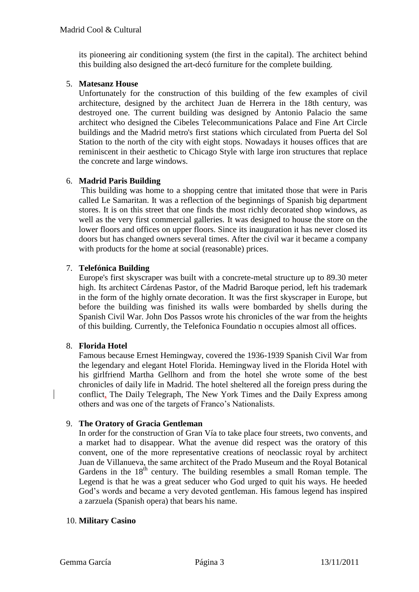its pioneering air conditioning system (the first in the capital). The architect behind this building also designed the art-decó furniture for the complete building.

## 5. **Matesanz House**

Unfortunately for the construction of this building of the few examples of civil architecture, designed by the architect Juan de Herrera in the 18th century, was destroyed one. The current building was designed by Antonio Palacio the same architect who designed the Cibeles Telecommunications Palace and Fine Art Circle buildings and the Madrid metro's first stations which circulated from Puerta del Sol Station to the north of the city with eight stops. Nowadays it houses offices that are reminiscent in their aesthetic to Chicago Style with large iron structures that replace the concrete and large windows.

## 6. **Madrid Paris Building**

This building was home to a shopping centre that imitated those that were in Paris called Le Samaritan. It was a reflection of the beginnings of Spanish big department stores. It is on this street that one finds the most richly decorated shop windows, as well as the very first commercial galleries. It was designed to house the store on the lower floors and offices on upper floors. Since its inauguration it has never closed its doors but has changed owners several times. After the civil war it became a company with products for the home at social (reasonable) prices.

## 7. **Telefónica Building**

Europe's first skyscraper was built with a concrete-metal structure up to 89.30 meter high. Its architect Cárdenas Pastor, of the Madrid Baroque period, left his trademark in the form of the highly ornate decoration. It was the first skyscraper in Europe, but before the building was finished its walls were bombarded by shells during the Spanish Civil War. John Dos Passos wrote his chronicles of the war from the heights of this building. Currently, the Telefonica Foundatio n occupies almost all offices.

## 8. **Florida Hotel**

Famous because Ernest Hemingway, covered the 1936-1939 Spanish Civil War from the legendary and elegant Hotel Florida. Hemingway lived in the Florida Hotel with his girlfriend Martha Gellhorn and from the hotel she wrote some of the best chronicles of daily life in Madrid. The hotel sheltered all the foreign press during the conflict, The Daily Telegraph, The New York Times and the Daily Express among others and was one of the targets of Franco"s Nationalists.

## 9. **The Oratory of Gracia Gentleman**

In order for the construction of Gran Vía to take place four streets, two convents, and a market had to disappear. What the avenue did respect was the oratory of this convent, one of the more representative creations of neoclassic royal by architect Juan de Villanueva, the same architect of the Prado Museum and the Royal Botanical Gardens in the  $18<sup>th</sup>$  century. The building resembles a small Roman temple. The Legend is that he was a great seducer who God urged to quit his ways. He heeded God"s words and became a very devoted gentleman. His famous legend has inspired a zarzuela (Spanish opera) that bears his name.

## 10. **Military Casino**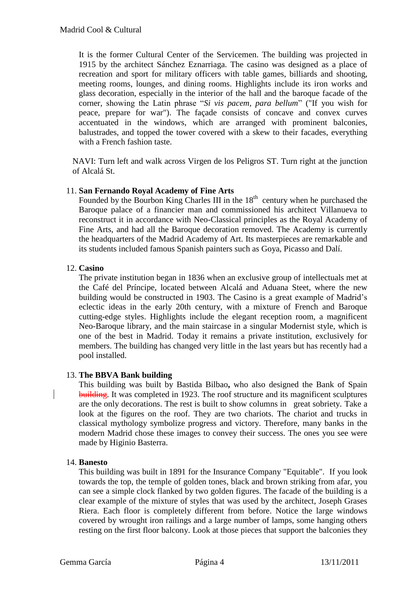It is the former Cultural Center of the Servicemen. The building was projected in 1915 by the architect Sánchez Eznarriaga. The casino was designed as a place of recreation and sport for military officers with table games, billiards and shooting, meeting rooms, lounges, and dining rooms. Highlights include its iron works and glass decoration, especially in the interior of the hall and the baroque facade of the corner, showing the Latin phrase "*[Si vis pacem, para bellum](http://en.wikipedia.org/wiki/Si_vis_pacem,_para_bellum)*" ("If you wish for peace, prepare for war"). The façade consists of concave and convex curves accentuated in the windows, which are arranged with prominent balconies, balustrades, and topped the tower covered with a skew to their facades, everything with a French fashion taste.

NAVI: Turn left and walk across Virgen de los Peligros ST. Turn right at the junction of Alcalá St.

## 11. **San Fernando Royal Academy of Fine Arts**

Founded by the Bourbon King Charles III in the  $18<sup>th</sup>$  century when he purchased the Baroque palace of a financier man and commissioned his architect Villanueva to reconstruct it in accordance with Neo-Classical principles as the Royal Academy of Fine Arts, and had all the Baroque decoration removed. The Academy is currently the headquarters of the Madrid Academy of Art. Its masterpieces are remarkable and its students included famous Spanish painters such as Goya, Picasso and Dalí.

### 12. **Casino**

The private institution began in 1836 when an exclusive group of intellectuals met at the Café del Príncipe, located between Alcalá and Aduana Steet, where the new building would be constructed in 1903. The Casino is a great example of Madrid"s eclectic ideas in the early 20th century, with a mixture of French and Baroque cutting-edge styles. Highlights include the elegant reception room, a magnificent Neo-Baroque library, and the main staircase in a singular Modernist style, which is one of the best in Madrid. Today it remains a private institution, exclusively for members. The building has changed very little in the last years but has recently had a pool installed.

#### 13. **The BBVA Bank building**

This building was built by Bastida Bilbao**,** who also designed the Bank of Spain building. It was completed in 1923. The roof structure and its magnificent sculptures are the only decorations. The rest is built to show columns in great sobriety. Take a look at the figures on the roof. They are two chariots. The chariot and trucks in classical mythology symbolize progress and victory. Therefore, many banks in the modern Madrid chose these images to convey their success. The ones you see were made by Higinio Basterra.

#### 14. **Banesto**

This building was built in 1891 for the Insurance Company "Equitable". If you look towards the top, the temple of golden tones, black and brown striking from afar, you can see a simple clock flanked by two golden figures. The facade of the building is a clear example of the mixture of styles that was used by the architect, Joseph Grases Riera. Each floor is completely different from before. Notice the large windows covered by wrought iron railings and a large number of lamps, some hanging others resting on the first floor balcony. Look at those pieces that support the balconies they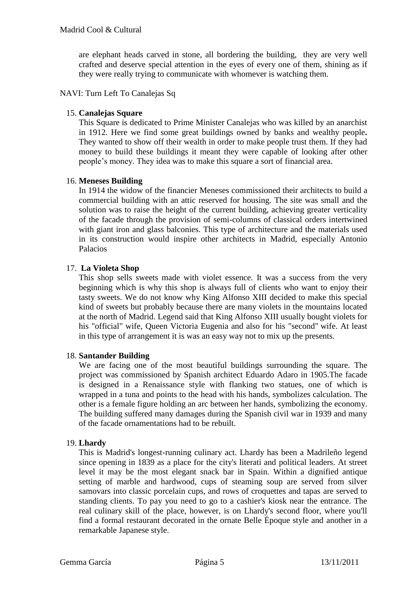are elephant heads carved in stone, all bordering the building, they are very well crafted and deserve special attention in the eyes of every one of them, shining as if they were really trying to communicate with whomever is watching them.

NAVI: Turn Left To Canalejas Sq

#### 15. **Canalejas Square**

This [Square](http://maps.google.com/maps?f=q&hl=en&geocode=&q=Plaza+de+Canalejas,+Madrid&sll=37.0625,-95.677068&sspn=29.025693,74.970703&ie=UTF8&ll=40.417196,-3.700494&spn=0.003398,0.009152&z=17&g=Plaza+de+Canalejas,+Madrid&iwloc=addr) is dedicated to Prime Minister Canalejas who was killed by an anarchist in 1912. Here we find some great buildings owned by banks and wealthy people**.** They wanted to show off their wealth in order to make people trust them. If they had money to build these buildings it meant they were capable of looking after other people"s money. They idea was to make this square a sort of financial area.

### 16. **Meneses Building**

In 1914 the widow of the financier Meneses commissioned their architects to build a commercial building with an attic reserved for housing. The site was small and the solution was to raise the height of the current building, achieving greater verticality of the facade through the provision of semi-columns of classical orders intertwined with giant iron and glass balconies. This type of architecture and the materials used in its construction would inspire other architects in Madrid, especially Antonio Palacios

### 17. **La Violeta Shop**

This shop sells sweets made with violet essence. It was a success from the very beginning which is why this shop is always full of clients who want to enjoy their tasty sweets. We do not know why [King Alfonso XIII](http://www.sightseeing-madrid.com/11-alfonso-xiii-1886-1941.php) decided to make this special kind of sweets but probably because there are many violets in the mountains located at the north of Madrid. Legend said that [King Alfonso XIII](http://www.sightseeing-madrid.com/11-alfonso-xiii-1886-1941.php) usually bought violets for his "official" wife, Queen Victoria Eugenia and also for his "second" wife. At least in this type of arrangement it is was an easy way not to mix up the presents.

#### 18. **Santander Building**

We are facing one of the most beautiful buildings surrounding the square. The project was commissioned by Spanish architect Eduardo Adaro in 1905.The facade is designed in a Renaissance style with flanking two statues, one of which is wrapped in a tuna and points to the head with his hands, symbolizes calculation. The other is a female figure holding an arc between her hands, symbolizing the economy. The building suffered many damages during the Spanish civil war in 1939 and many of the facade ornamentations had to be rebuilt.

#### 19. **Lhardy**

This is Madrid's longest-running culinary act. Lhardy has been a Madrileño legend since opening in 1839 as a place for the city's literati and political leaders. At street level it may be the most elegant snack bar in Spain. Within a dignified antique setting of marble and hardwood, cups of steaming soup are served from silver samovars into classic porcelain cups, and rows of croquettes and tapas are served to standing clients. To pay you need to go to a cashier's kiosk near the entrance. The real culinary skill of the place, however, is on Lhardy's second floor, where you'll find a formal restaurant decorated in the ornate Belle Époque style and another in a remarkable Japanese style.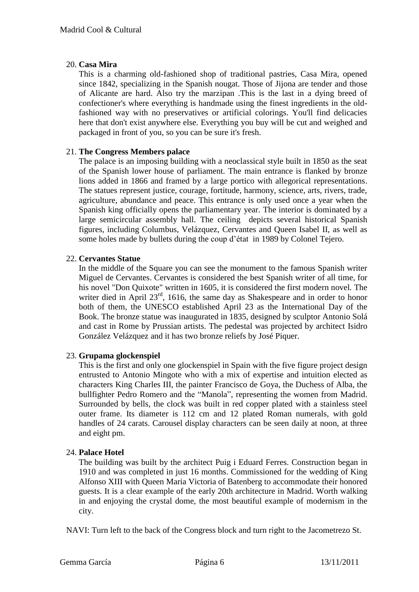## 20. **Casa Mira**

This is a charming old-fashioned shop of traditional pastries, Casa Mira, opened since 1842, specializing in the Spanish nougat. Those of Jijona are tender and those of Alicante are hard. Also try the marzipan .This is the last in a dying breed of confectioner's where everything is handmade using the finest ingredients in the oldfashioned way with no preservatives or artificial colorings. You'll find delicacies here that don't exist anywhere else. Everything you buy will be cut and weighed and packaged in front of you, so you can be sure it's fresh.

## 21. **The Congress Members palace**

The palace is an imposing building with a neoclassical style built in 1850 as the seat of the Spanish lower house of parliament. The main entrance is flanked by bronze lions added in 1866 and framed by a large portico with allegorical representations. The statues represent justice, courage, fortitude, harmony, science, arts, rivers, trade, agriculture, abundance and peace. This entrance is only used once a year when the Spanish king officially opens the parliamentary year. The interior is dominated by a large semicircular assembly hall. The ceiling depicts several historical Spanish figures, including Columbus, Velázquez, Cervantes and Queen Isabel II, as well as some holes made by bullets during the coup d"état in 1989 by Colonel Tejero.

## 22. **Cervantes Statue**

In the middle of the Square you can see the monument to the famous Spanish writer [Miguel de Cervantes.](http://commons.wikimedia.org/wiki/Miguel_de_Cervantes) Cervantes is considered the best Spanish writer of all time, for his novel "Don Quixote" written in 1605, it is considered the first modern novel*.* The writer died in April 23<sup>rd</sup>, 1616, the same day as Shakespeare and in order to honor both of them, the [UNESCO](http://en.wikipedia.org/wiki/UNESCO) established April 23 as the [International Day of](http://en.wikipedia.org/wiki/International_Day_of_the_Book) the [Book.](http://en.wikipedia.org/wiki/International_Day_of_the_Book) The bronze statue was inaugurated in 1835, designed by sculptor [Antonio Solá](http://en.wikipedia.org/wiki/Antonio_Sol%C3%A1) and cast in [Rome](http://commons.wikimedia.org/wiki/Rome) by Prussian artists. The pedestal was projected by architect [Isidro](http://en.wikipedia.org/wiki/Isidro_Gonz%C3%A1lez_Vel%C3%A1zquez)  [González Velázquez](http://en.wikipedia.org/wiki/Isidro_Gonz%C3%A1lez_Vel%C3%A1zquez) and it has two bronze reliefs by José Piquer.

## 23. **Grupama glockenspiel**

This is the first and only one glockenspiel in Spain with the five figure project design entrusted to Antonio Mingote who with a mix of expertise and intuition elected as characters King Charles III, the painter Francisco de Goya, the Duchess of Alba, the bullfighter Pedro Romero and the "Manola", representing the women from Madrid. Surrounded by bells, the clock was built in red copper plated with a stainless steel outer frame. Its diameter is 112 cm and 12 plated Roman numerals, with gold handles of 24 carats. Carousel display characters can be seen daily at noon, at three and eight pm.

## 24. **Palace Hotel**

The building was built by the architect Puig i Eduard Ferres. Construction began in 1910 and was completed in just 16 months. Commissioned for the wedding of King Alfonso XIII with Queen Maria Victoria of Batenberg to accommodate their honored guests. It is a clear example of the early 20th architecture in Madrid. Worth walking in and enjoying the crystal dome, the most beautiful example of modernism in the city.

NAVI: Turn left to the back of the Congress block and turn right to the Jacometrezo St.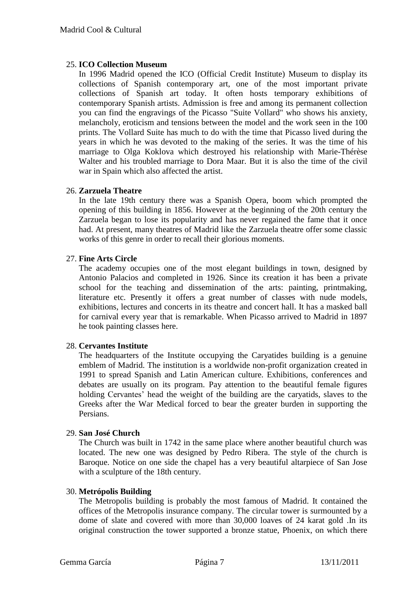## 25. **ICO Collection Museum**

In 1996 Madrid opened the ICO (Official Credit Institute) Museum to display its collections of Spanish contemporary art, one of the most important private collections of Spanish art today. It often hosts temporary exhibitions of contemporary Spanish artists. Admission is free and among its permanent collection you can find the engravings of the Picasso "Suite Vollard" who shows his anxiety, melancholy, eroticism and tensions between the model and the work seen in the 100 prints. The Vollard Suite has much to do with the time that Picasso lived during the years in which he was devoted to the making of the series. It was the time of his marriage to Olga Koklova which destroyed his relationship with Marie-Thérèse Walter and his troubled marriage to Dora Maar. But it is also the time of the civil war in Spain which also affected the artist.

## 26. **Zarzuela Theatre**

In the late 19th century there was a Spanish Opera, boom which prompted the opening of this building in 1856. However at the beginning of the 20th century the Zarzuela began to lose its popularity and has never regained the fame that it once had. At present, many theatres of Madrid like the Zarzuela theatre offer some classic works of this genre in order to recall their glorious moments.

## 27. **Fine Arts Circle**

The academy occupies one of the most elegant buildings in town, designed by Antonio Palacios and completed in 1926. Since its creation it has been a private school for the teaching and dissemination of the arts: painting, printmaking, literature etc. Presently it offers a great number of classes with nude models, exhibitions, lectures and concerts in its theatre and concert hall. It has a masked ball for carnival every year that is remarkable. When Picasso arrived to Madrid in 1897 he took painting classes here.

## 28. **Cervantes Institute**

The headquarters of the Institute occupying the Caryatides building is a genuine emblem of Madrid. The institution is a worldwide [non-profit organization](http://en.wikipedia.org/wiki/Non-profit_organization) created in 1991 to spread Spanish and Latin American culture. Exhibitions, conferences and debates are usually on its program. Pay attention to the beautiful female figures holding Cervantes' head the weight of the building are the caryatids, slaves to the Greeks after the War Medical forced to bear the greater burden in supporting the Persians.

#### 29. **San José Church**

The Church was built in 1742 in the same place where another beautiful church was located. The new one was designed by Pedro Ribera. The style of the church is Baroque. Notice on one side the chapel has a very beautiful altarpiece of San Jose with a sculpture of the 18th century.

#### 30. **Metrópolis Building**

The Metropolis building is probably the most famous of Madrid. It contained the offices of the Metropolis insurance company. The circular tower is surmounted by a dome of slate and covered with more than 30,000 loaves of 24 karat gold .In its original construction the tower supported a bronze statue, Phoenix, on which there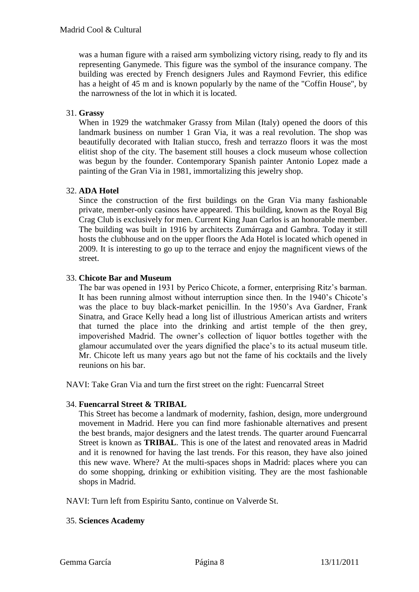was a human figure with a raised arm symbolizing victory rising, ready to fly and its representing Ganymede. This figure was the symbol of the insurance company. The building was erected by French designers Jules and Raymond Fevrier, this edifice has a height of 45 m and is known popularly by the name of the "Coffin House", by the narrowness of the lot in which it is located.

## 31. **Grassy**

When in 1929 the watchmaker Grassy from Milan (Italy) opened the doors of this landmark business on number 1 Gran Via, it was a real revolution. The shop was beautifully decorated with Italian stucco, fresh and terrazzo floors it was the most elitist shop of the city. The basement still houses a clock museum whose collection was begun by the founder. Contemporary Spanish painter Antonio Lopez made a painting of the Gran Via in 1981, immortalizing this jewelry shop.

### 32. **ADA Hotel**

Since the construction of the first buildings on the Gran Via many fashionable private, member-only casinos have appeared. This building, known as the Royal Big Crag Club is exclusively for men. Current King Juan Carlos is an honorable member. The building was built in 1916 by architects Zumárraga and Gambra. Today it still hosts the clubhouse and on the upper floors the Ada Hotel is located which opened in 2009. It is interesting to go up to the terrace and enjoy the magnificent views of the street.

## 33. **Chicote Bar and Museum**

The bar was opened in 1931 by Perico Chicote, a former, enterprising Ritz"s barman. It has been running almost without interruption since then. In the 1940"s Chicote"s was the place to buy black-market penicillin. In the 1950"s Ava Gardner, Frank Sinatra, and Grace Kelly head a long list of illustrious American artists and writers that turned the place into the drinking and artist temple of the then grey, impoverished Madrid. The owner"s collection of liquor bottles together with the glamour accumulated over the years dignified the place"s to its actual museum title. Mr. Chicote left us many years ago but not the fame of his cocktails and the lively reunions on his bar.

NAVI: Take Gran Via and turn the first street on the right: Fuencarral Street

#### 34. **Fuencarral Street & TRIBAL**

This Street has become a landmark of modernity, fashion, design, more underground movement in Madrid. Here you can find more fashionable alternatives and present the best brands, major designers and the latest trends. The quarter around Fuencarral Street is known as **TRIBAL**. This is one of the latest and renovated areas in Madrid and it is renowned for having the last trends. For this reason, they have also joined this new wave. Where? At the multi-spaces shops in Madrid: places where you can do some shopping, drinking or exhibition visiting. They are the most fashionable shops in Madrid.

NAVI: Turn left from Espiritu Santo, continue on Valverde St.

#### 35. **Sciences Academy**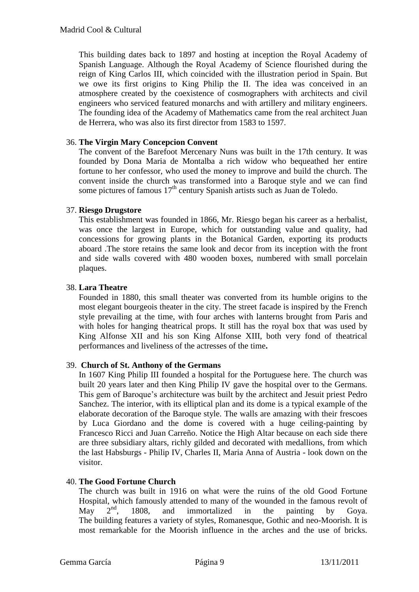This building dates back to 1897 and hosting at inception the Royal Academy of Spanish Language. Although the Royal Academy of Science flourished during the reign of King Carlos III, which coincided with the illustration period in Spain. But we owe its first origins to King Philip the II. The idea was conceived in an atmosphere created by the coexistence of cosmographers with architects and civil engineers who serviced featured monarchs and with artillery and military engineers. The founding idea of the Academy of Mathematics came from the real architect Juan de Herrera, who was also its first director from 1583 to 1597.

### 36. **The Virgin Mary Concepcion Convent**

The convent of the Barefoot Mercenary Nuns was built in the 17th century. It was founded by Dona Maria de Montalba a rich widow who bequeathed her entire fortune to her confessor, who used the money to improve and build the church. The convent inside the church was transformed into a Baroque style and we can find some pictures of famous  $17<sup>th</sup>$  century Spanish artists such as Juan de Toledo.

### 37. **Riesgo Drugstore**

This establishment was founded in 1866, Mr. Riesgo began his career as a herbalist, was once the largest in Europe, which for outstanding value and quality, had concessions for growing plants in the Botanical Garden, exporting its products aboard .The store retains the same look and decor from its inception with the front and side walls covered with 480 wooden boxes, numbered with small porcelain plaques.

### 38. **Lara Theatre**

Founded in 1880, this small theater was converted from its humble origins to the most elegant bourgeois theater in the city. The street facade is inspired by the French style prevailing at the time, with four arches with lanterns brought from Paris and with holes for hanging theatrical props. It still has the royal box that was used by King Alfonse XII and his son King Alfonse XIII, both very fond of theatrical performances and liveliness of the actresses of the time**.**

#### 39. **Church of St. Anthony of the Germans**

In 1607 King Philip III founded a hospital for the Portuguese here. The church was built 20 years later and then King Philip IV gave the hospital over to the Germans. This gem of Baroque"s architecture was built by the architect and Jesuit priest Pedro Sanchez. The interior, with its elliptical plan and its dome is a typical example of the elaborate decoration of the Baroque style. The walls are amazing with their frescoes by Luca Giordano and the dome is covered with a huge ceiling-painting by Francesco Ricci and Juan Carreño. Notice the High Altar because on each side there are three subsidiary altars, richly gilded and decorated with medallions, from which the last Habsburgs - Philip IV, Charles II, Maria Anna of Austria - look down on the visitor.

#### 40. **The Good Fortune Church**

The church was built in 1916 on what were the ruins of the old Good Fortune Hospital, which famously attended to many of the wounded in the famous revolt of May 2<sup>nd</sup>, 1808, and immortalized in the painting by Goya. The building features a variety of styles, Romanesque, Gothic and neo-Moorish. It is most remarkable for the Moorish influence in the arches and the use of bricks.